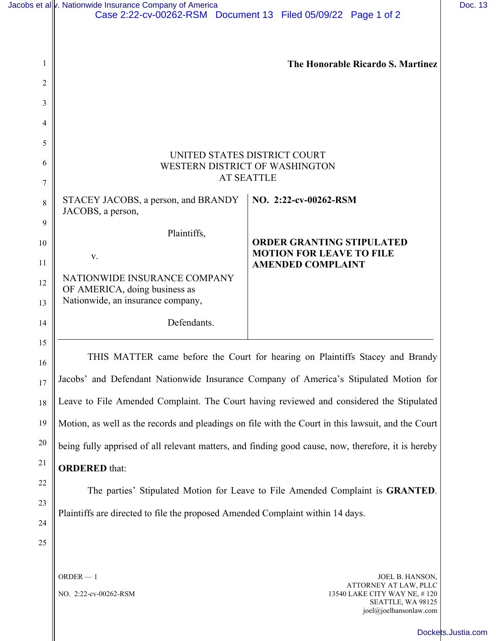| Jacobs et al v. Nationwide Insurance Company of America                                  | Case 2:22-cv-00262-RSM  Document 13  Filed 05/09/22  Page 1 of 2                                   |
|------------------------------------------------------------------------------------------|----------------------------------------------------------------------------------------------------|
|                                                                                          |                                                                                                    |
| 1                                                                                        | The Honorable Ricardo S. Martinez                                                                  |
| $\overline{c}$                                                                           |                                                                                                    |
| 3                                                                                        |                                                                                                    |
| 4                                                                                        |                                                                                                    |
| 5                                                                                        |                                                                                                    |
| UNITED STATES DISTRICT COURT<br>WESTERN DISTRICT OF WASHINGTON                           |                                                                                                    |
| $\tau$                                                                                   | <b>AT SEATTLE</b>                                                                                  |
| STACEY JACOBS, a person, and BRANDY<br>8<br>JACOBS, a person,                            | NO. 2:22-cv-00262-RSM                                                                              |
| 9<br>Plaintiffs,                                                                         |                                                                                                    |
| 10<br>V.                                                                                 | <b>ORDER GRANTING STIPULATED</b><br><b>MOTION FOR LEAVE TO FILE</b>                                |
| 11<br>NATIONWIDE INSURANCE COMPANY                                                       | <b>AMENDED COMPLAINT</b>                                                                           |
| 12<br>OF AMERICA, doing business as<br>Nationwide, an insurance company,<br>13           |                                                                                                    |
| Defendants.<br>14                                                                        |                                                                                                    |
| 15                                                                                       |                                                                                                    |
| 16                                                                                       | THIS MATTER came before the Court for hearing on Plaintiffs Stacey and Brandy                      |
| 17                                                                                       | Jacobs' and Defendant Nationwide Insurance Company of America's Stipulated Motion for              |
| Leave to File Amended Complaint. The Court having reviewed and considered the Stipulated |                                                                                                    |
| 19                                                                                       | Motion, as well as the records and pleadings on file with the Court in this lawsuit, and the Court |
| 20                                                                                       | being fully apprised of all relevant matters, and finding good cause, now, therefore, it is hereby |
| 21<br><b>ORDERED</b> that:                                                               |                                                                                                    |
| 22                                                                                       | The parties' Stipulated Motion for Leave to File Amended Complaint is GRANTED.                     |
| Plaintiffs are directed to file the proposed Amended Complaint within 14 days.           |                                                                                                    |
| 24                                                                                       |                                                                                                    |
| 25                                                                                       |                                                                                                    |

NO. 2:22-cv-00262-RSM

ORDER — 1

JOEL B. HANSON, ATTORNEY AT LAW, PLLC 13540 LAKE CITY WAY NE, # 120 SEATTLE, WA 98125 joel@joelhansonlaw.com